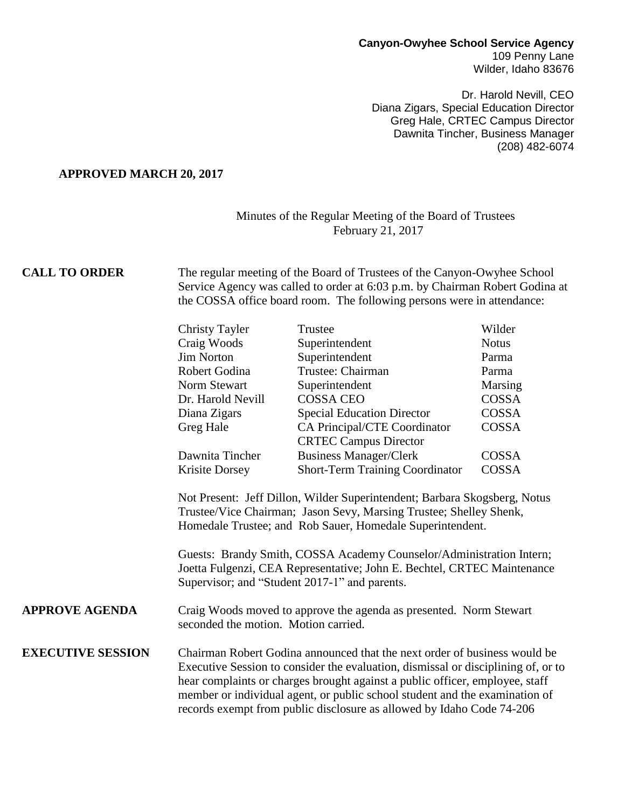#### **Canyon-Owyhee School Service Agency** 109 Penny Lane Wilder, Idaho 83676

Dr. Harold Nevill, CEO Diana Zigars, Special Education Director Greg Hale, CRTEC Campus Director Dawnita Tincher, Business Manager (208) 482-6074

### **APPROVED MARCH 20, 2017**

#### Minutes of the Regular Meeting of the Board of Trustees February 21, 2017

# **CALL TO ORDER** The regular meeting of the Board of Trustees of the Canyon-Owyhee School Service Agency was called to order at 6:03 p.m. by Chairman Robert Godina at the COSSA office board room. The following persons were in attendance:

|                          | <b>Christy Tayler</b>                                                                                                                                                                                                                                                                                                         | Trustee                                                      | Wilder       |  |
|--------------------------|-------------------------------------------------------------------------------------------------------------------------------------------------------------------------------------------------------------------------------------------------------------------------------------------------------------------------------|--------------------------------------------------------------|--------------|--|
|                          | Craig Woods                                                                                                                                                                                                                                                                                                                   | Superintendent                                               | <b>Notus</b> |  |
|                          | <b>Jim Norton</b>                                                                                                                                                                                                                                                                                                             | Superintendent                                               | Parma        |  |
|                          | Robert Godina                                                                                                                                                                                                                                                                                                                 | Trustee: Chairman                                            | Parma        |  |
|                          | Norm Stewart                                                                                                                                                                                                                                                                                                                  | Superintendent                                               | Marsing      |  |
|                          | Dr. Harold Nevill                                                                                                                                                                                                                                                                                                             | <b>COSSA CEO</b>                                             | COSSA        |  |
|                          | Diana Zigars                                                                                                                                                                                                                                                                                                                  | <b>Special Education Director</b>                            | COSSA        |  |
|                          | Greg Hale                                                                                                                                                                                                                                                                                                                     | CA Principal/CTE Coordinator<br><b>CRTEC Campus Director</b> | <b>COSSA</b> |  |
|                          | Dawnita Tincher                                                                                                                                                                                                                                                                                                               | <b>Business Manager/Clerk</b>                                | COSSA        |  |
|                          | Krisite Dorsey                                                                                                                                                                                                                                                                                                                | <b>Short-Term Training Coordinator</b>                       | COSSA        |  |
|                          | Homedale Trustee; and Rob Sauer, Homedale Superintendent.<br>Guests: Brandy Smith, COSSA Academy Counselor/Administration Intern;<br>Joetta Fulgenzi, CEA Representative; John E. Bechtel, CRTEC Maintenance<br>Supervisor; and "Student 2017-1" and parents.                                                                 |                                                              |              |  |
| <b>APPROVE AGENDA</b>    | Craig Woods moved to approve the agenda as presented. Norm Stewart<br>seconded the motion. Motion carried.                                                                                                                                                                                                                    |                                                              |              |  |
| <b>EXECUTIVE SESSION</b> | Chairman Robert Godina announced that the next order of business would be<br>Executive Session to consider the evaluation, dismissal or disciplining of, or to<br>hear complaints or charges brought against a public officer, employee, staff<br>member or individual agent, or public school student and the examination of |                                                              |              |  |

records exempt from public disclosure as allowed by Idaho Code 74-206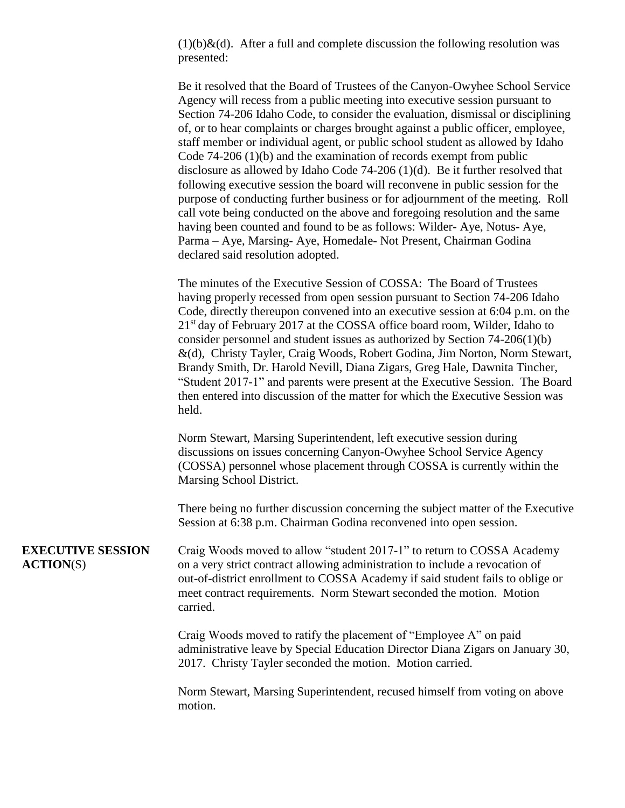$(1)(b)$ &(d). After a full and complete discussion the following resolution was presented:

Be it resolved that the Board of Trustees of the Canyon-Owyhee School Service Agency will recess from a public meeting into executive session pursuant to Section 74-206 Idaho Code, to consider the evaluation, dismissal or disciplining of, or to hear complaints or charges brought against a public officer, employee, staff member or individual agent, or public school student as allowed by Idaho Code 74-206 (1)(b) and the examination of records exempt from public disclosure as allowed by Idaho Code 74-206 (1)(d). Be it further resolved that following executive session the board will reconvene in public session for the purpose of conducting further business or for adjournment of the meeting. Roll call vote being conducted on the above and foregoing resolution and the same having been counted and found to be as follows: Wilder- Aye, Notus- Aye, Parma – Aye, Marsing- Aye, Homedale- Not Present, Chairman Godina declared said resolution adopted.

The minutes of the Executive Session of COSSA: The Board of Trustees having properly recessed from open session pursuant to Section 74-206 Idaho Code, directly thereupon convened into an executive session at 6:04 p.m. on the 21<sup>st</sup> day of February 2017 at the COSSA office board room, Wilder, Idaho to consider personnel and student issues as authorized by Section 74-206(1)(b) &(d), Christy Tayler, Craig Woods, Robert Godina, Jim Norton, Norm Stewart, Brandy Smith, Dr. Harold Nevill, Diana Zigars, Greg Hale, Dawnita Tincher, "Student 2017-1" and parents were present at the Executive Session. The Board then entered into discussion of the matter for which the Executive Session was held.

Norm Stewart, Marsing Superintendent, left executive session during discussions on issues concerning Canyon-Owyhee School Service Agency (COSSA) personnel whose placement through COSSA is currently within the Marsing School District.

There being no further discussion concerning the subject matter of the Executive Session at 6:38 p.m. Chairman Godina reconvened into open session.

**EXECUTIVE SESSION** Craig Woods moved to allow "student 2017-1" to return to COSSA Academy **ACTION**(S) on a very strict contract allowing administration to include a revocation of out-of-district enrollment to COSSA Academy if said student fails to oblige or meet contract requirements. Norm Stewart seconded the motion. Motion carried.

> Craig Woods moved to ratify the placement of "Employee A" on paid administrative leave by Special Education Director Diana Zigars on January 30, 2017. Christy Tayler seconded the motion. Motion carried.

 Norm Stewart, Marsing Superintendent, recused himself from voting on above motion.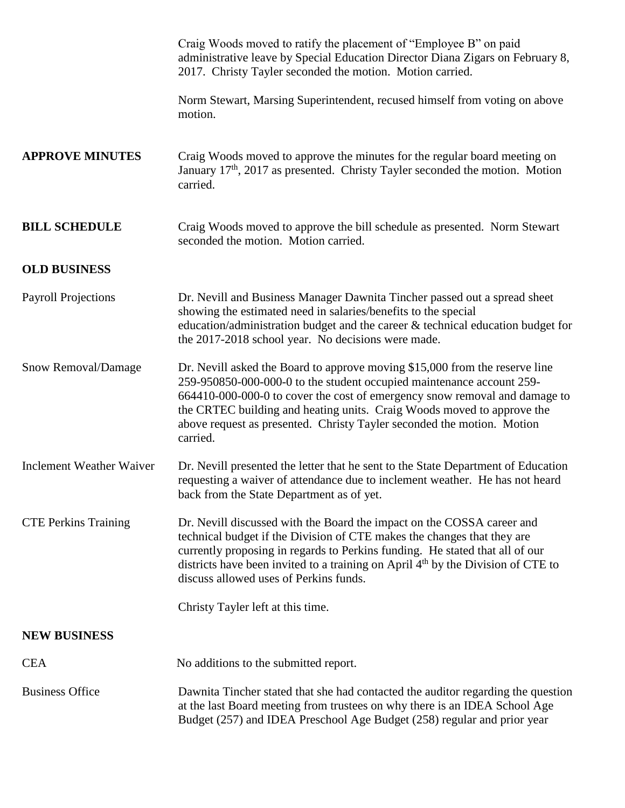|                                 | Craig Woods moved to ratify the placement of "Employee B" on paid<br>administrative leave by Special Education Director Diana Zigars on February 8,<br>2017. Christy Tayler seconded the motion. Motion carried.                                                                                                                                                                                   |
|---------------------------------|----------------------------------------------------------------------------------------------------------------------------------------------------------------------------------------------------------------------------------------------------------------------------------------------------------------------------------------------------------------------------------------------------|
|                                 | Norm Stewart, Marsing Superintendent, recused himself from voting on above<br>motion.                                                                                                                                                                                                                                                                                                              |
| <b>APPROVE MINUTES</b>          | Craig Woods moved to approve the minutes for the regular board meeting on<br>January 17 <sup>th</sup> , 2017 as presented. Christy Tayler seconded the motion. Motion<br>carried.                                                                                                                                                                                                                  |
| <b>BILL SCHEDULE</b>            | Craig Woods moved to approve the bill schedule as presented. Norm Stewart<br>seconded the motion. Motion carried.                                                                                                                                                                                                                                                                                  |
| <b>OLD BUSINESS</b>             |                                                                                                                                                                                                                                                                                                                                                                                                    |
| <b>Payroll Projections</b>      | Dr. Nevill and Business Manager Dawnita Tincher passed out a spread sheet<br>showing the estimated need in salaries/benefits to the special<br>education/administration budget and the career & technical education budget for<br>the 2017-2018 school year. No decisions were made.                                                                                                               |
| Snow Removal/Damage             | Dr. Nevill asked the Board to approve moving \$15,000 from the reserve line<br>259-950850-000-000-0 to the student occupied maintenance account 259-<br>664410-000-000-0 to cover the cost of emergency snow removal and damage to<br>the CRTEC building and heating units. Craig Woods moved to approve the<br>above request as presented. Christy Tayler seconded the motion. Motion<br>carried. |
| <b>Inclement Weather Waiver</b> | Dr. Nevill presented the letter that he sent to the State Department of Education<br>requesting a waiver of attendance due to inclement weather. He has not heard<br>back from the State Department as of yet.                                                                                                                                                                                     |
| <b>CTE Perkins Training</b>     | Dr. Nevill discussed with the Board the impact on the COSSA career and<br>technical budget if the Division of CTE makes the changes that they are<br>currently proposing in regards to Perkins funding. He stated that all of our<br>districts have been invited to a training on April 4 <sup>th</sup> by the Division of CTE to<br>discuss allowed uses of Perkins funds.                        |
|                                 | Christy Tayler left at this time.                                                                                                                                                                                                                                                                                                                                                                  |
| <b>NEW BUSINESS</b>             |                                                                                                                                                                                                                                                                                                                                                                                                    |
| <b>CEA</b>                      | No additions to the submitted report.                                                                                                                                                                                                                                                                                                                                                              |
| <b>Business Office</b>          | Dawnita Tincher stated that she had contacted the auditor regarding the question<br>at the last Board meeting from trustees on why there is an IDEA School Age<br>Budget (257) and IDEA Preschool Age Budget (258) regular and prior year                                                                                                                                                          |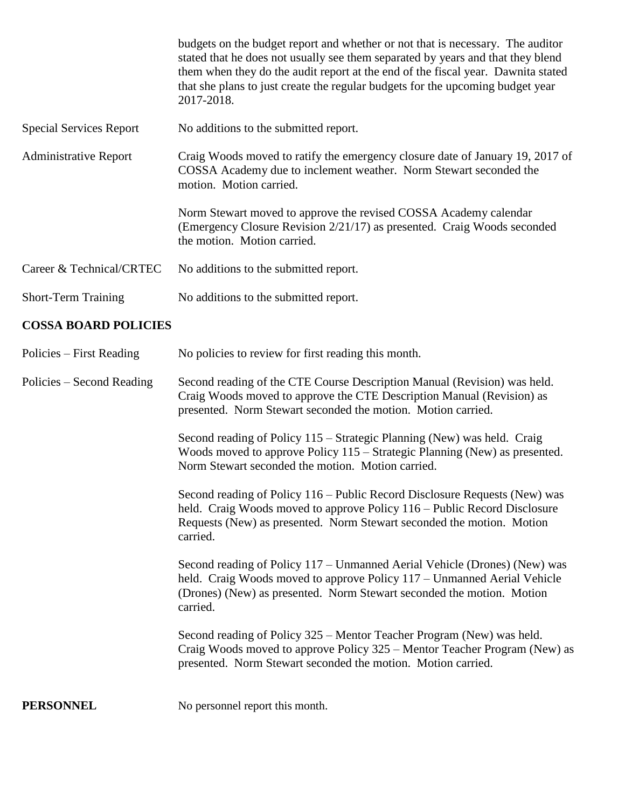|                                | budgets on the budget report and whether or not that is necessary. The auditor<br>stated that he does not usually see them separated by years and that they blend<br>them when they do the audit report at the end of the fiscal year. Dawnita stated<br>that she plans to just create the regular budgets for the upcoming budget year<br>2017-2018. |
|--------------------------------|-------------------------------------------------------------------------------------------------------------------------------------------------------------------------------------------------------------------------------------------------------------------------------------------------------------------------------------------------------|
| <b>Special Services Report</b> | No additions to the submitted report.                                                                                                                                                                                                                                                                                                                 |
| <b>Administrative Report</b>   | Craig Woods moved to ratify the emergency closure date of January 19, 2017 of<br>COSSA Academy due to inclement weather. Norm Stewart seconded the<br>motion. Motion carried.                                                                                                                                                                         |
|                                | Norm Stewart moved to approve the revised COSSA Academy calendar<br>(Emergency Closure Revision 2/21/17) as presented. Craig Woods seconded<br>the motion. Motion carried.                                                                                                                                                                            |
| Career & Technical/CRTEC       | No additions to the submitted report.                                                                                                                                                                                                                                                                                                                 |
| <b>Short-Term Training</b>     | No additions to the submitted report.                                                                                                                                                                                                                                                                                                                 |
|                                |                                                                                                                                                                                                                                                                                                                                                       |

## **COSSA BOARD POLICIES**

Policies – First Reading No policies to review for first reading this month.

Policies – Second Reading Second reading of the CTE Course Description Manual (Revision) was held. Craig Woods moved to approve the CTE Description Manual (Revision) as presented. Norm Stewart seconded the motion. Motion carried.

> Second reading of Policy 115 – Strategic Planning (New) was held. Craig Woods moved to approve Policy 115 – Strategic Planning (New) as presented. Norm Stewart seconded the motion. Motion carried.

> Second reading of Policy 116 – Public Record Disclosure Requests (New) was held. Craig Woods moved to approve Policy 116 – Public Record Disclosure Requests (New) as presented. Norm Stewart seconded the motion. Motion carried.

> Second reading of Policy 117 – Unmanned Aerial Vehicle (Drones) (New) was held. Craig Woods moved to approve Policy 117 – Unmanned Aerial Vehicle (Drones) (New) as presented. Norm Stewart seconded the motion. Motion carried.

Second reading of Policy 325 – Mentor Teacher Program (New) was held. Craig Woods moved to approve Policy 325 – Mentor Teacher Program (New) as presented. Norm Stewart seconded the motion. Motion carried.

**PERSONNEL** No personnel report this month.